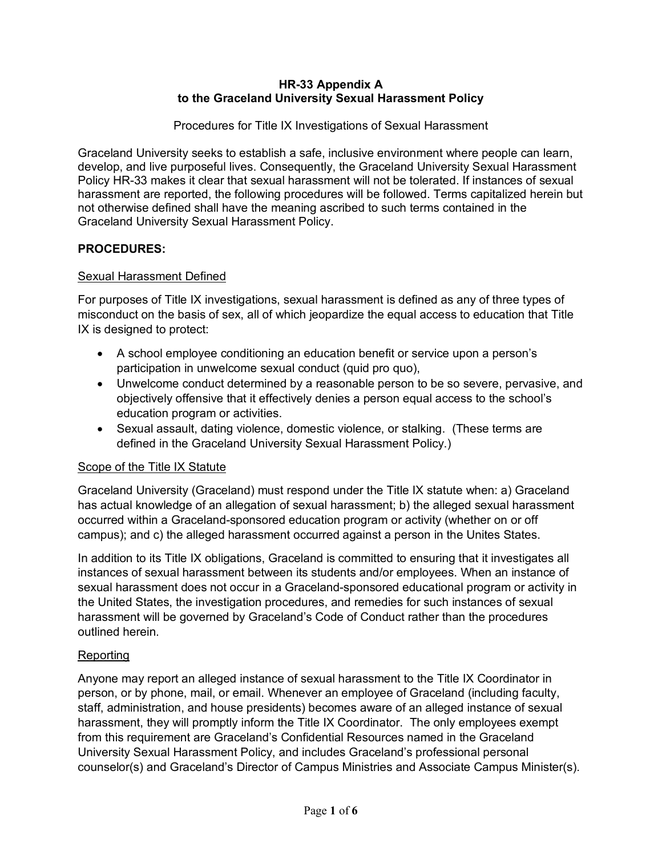#### **HR-33 Appendix A to the Graceland University Sexual Harassment Policy**

Procedures for Title IX Investigations of Sexual Harassment

Graceland University seeks to establish a safe, inclusive environment where people can learn, develop, and live purposeful lives. Consequently, the Graceland University Sexual Harassment Policy HR-33 makes it clear that sexual harassment will not be tolerated. If instances of sexual harassment are reported, the following procedures will be followed. Terms capitalized herein but not otherwise defined shall have the meaning ascribed to such terms contained in the Graceland University Sexual Harassment Policy.

## **PROCEDURES:**

## Sexual Harassment Defined

For purposes of Title IX investigations, sexual harassment is defined as any of three types of misconduct on the basis of sex, all of which jeopardize the equal access to education that Title IX is designed to protect:

- A school employee conditioning an education benefit or service upon a person's participation in unwelcome sexual conduct (quid pro quo),
- Unwelcome conduct determined by a reasonable person to be so severe, pervasive, and objectively offensive that it effectively denies a person equal access to the school's education program or activities.
- Sexual assault, dating violence, domestic violence, or stalking. (These terms are defined in the Graceland University Sexual Harassment Policy.)

### Scope of the Title IX Statute

Graceland University (Graceland) must respond under the Title IX statute when: a) Graceland has actual knowledge of an allegation of sexual harassment; b) the alleged sexual harassment occurred within a Graceland-sponsored education program or activity (whether on or off campus); and c) the alleged harassment occurred against a person in the Unites States.

In addition to its Title IX obligations, Graceland is committed to ensuring that it investigates all instances of sexual harassment between its students and/or employees. When an instance of sexual harassment does not occur in a Graceland-sponsored educational program or activity in the United States, the investigation procedures, and remedies for such instances of sexual harassment will be governed by Graceland's Code of Conduct rather than the procedures outlined herein.

### Reporting

Anyone may report an alleged instance of sexual harassment to the Title IX Coordinator in person, or by phone, mail, or email. Whenever an employee of Graceland (including faculty, staff, administration, and house presidents) becomes aware of an alleged instance of sexual harassment, they will promptly inform the Title IX Coordinator. The only employees exempt from this requirement are Graceland's Confidential Resources named in the Graceland University Sexual Harassment Policy, and includes Graceland's professional personal counselor(s) and Graceland's Director of Campus Ministries and Associate Campus Minister(s).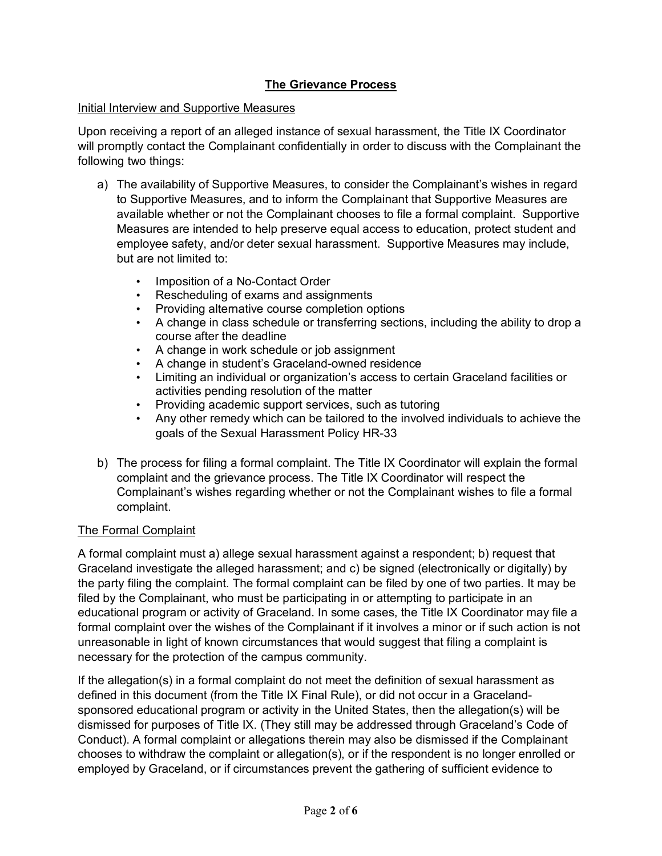# **The Grievance Process**

### Initial Interview and Supportive Measures

Upon receiving a report of an alleged instance of sexual harassment, the Title IX Coordinator will promptly contact the Complainant confidentially in order to discuss with the Complainant the following two things:

- a) The availability of Supportive Measures, to consider the Complainant's wishes in regard to Supportive Measures, and to inform the Complainant that Supportive Measures are available whether or not the Complainant chooses to file a formal complaint. Supportive Measures are intended to help preserve equal access to education, protect student and employee safety, and/or deter sexual harassment. Supportive Measures may include, but are not limited to:
	- Imposition of a No-Contact Order
	- Rescheduling of exams and assignments
	- Providing alternative course completion options
	- A change in class schedule or transferring sections, including the ability to drop a course after the deadline
	- A change in work schedule or job assignment
	- A change in student's Graceland-owned residence
	- Limiting an individual or organization's access to certain Graceland facilities or activities pending resolution of the matter
	- Providing academic support services, such as tutoring
	- Any other remedy which can be tailored to the involved individuals to achieve the goals of the Sexual Harassment Policy HR-33
- b) The process for filing a formal complaint. The Title IX Coordinator will explain the formal complaint and the grievance process. The Title IX Coordinator will respect the Complainant's wishes regarding whether or not the Complainant wishes to file a formal complaint.

# The Formal Complaint

A formal complaint must a) allege sexual harassment against a respondent; b) request that Graceland investigate the alleged harassment; and c) be signed (electronically or digitally) by the party filing the complaint. The formal complaint can be filed by one of two parties. It may be filed by the Complainant, who must be participating in or attempting to participate in an educational program or activity of Graceland. In some cases, the Title IX Coordinator may file a formal complaint over the wishes of the Complainant if it involves a minor or if such action is not unreasonable in light of known circumstances that would suggest that filing a complaint is necessary for the protection of the campus community.

If the allegation(s) in a formal complaint do not meet the definition of sexual harassment as defined in this document (from the Title IX Final Rule), or did not occur in a Gracelandsponsored educational program or activity in the United States, then the allegation(s) will be dismissed for purposes of Title IX. (They still may be addressed through Graceland's Code of Conduct). A formal complaint or allegations therein may also be dismissed if the Complainant chooses to withdraw the complaint or allegation(s), or if the respondent is no longer enrolled or employed by Graceland, or if circumstances prevent the gathering of sufficient evidence to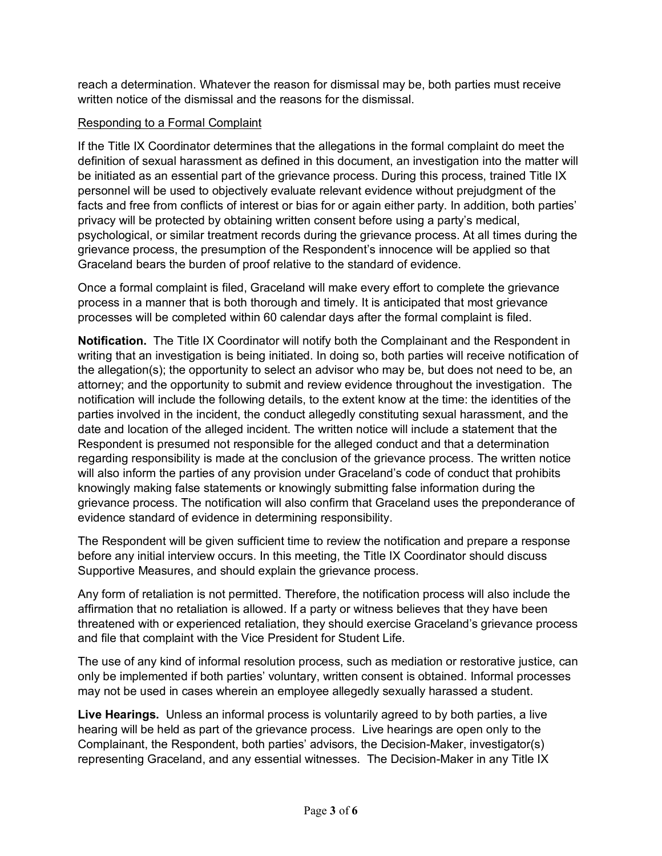reach a determination. Whatever the reason for dismissal may be, both parties must receive written notice of the dismissal and the reasons for the dismissal.

## Responding to a Formal Complaint

If the Title IX Coordinator determines that the allegations in the formal complaint do meet the definition of sexual harassment as defined in this document, an investigation into the matter will be initiated as an essential part of the grievance process. During this process, trained Title IX personnel will be used to objectively evaluate relevant evidence without prejudgment of the facts and free from conflicts of interest or bias for or again either party. In addition, both parties' privacy will be protected by obtaining written consent before using a party's medical, psychological, or similar treatment records during the grievance process. At all times during the grievance process, the presumption of the Respondent's innocence will be applied so that Graceland bears the burden of proof relative to the standard of evidence.

Once a formal complaint is filed, Graceland will make every effort to complete the grievance process in a manner that is both thorough and timely. It is anticipated that most grievance processes will be completed within 60 calendar days after the formal complaint is filed.

**Notification.** The Title IX Coordinator will notify both the Complainant and the Respondent in writing that an investigation is being initiated. In doing so, both parties will receive notification of the allegation(s); the opportunity to select an advisor who may be, but does not need to be, an attorney; and the opportunity to submit and review evidence throughout the investigation. The notification will include the following details, to the extent know at the time: the identities of the parties involved in the incident, the conduct allegedly constituting sexual harassment, and the date and location of the alleged incident. The written notice will include a statement that the Respondent is presumed not responsible for the alleged conduct and that a determination regarding responsibility is made at the conclusion of the grievance process. The written notice will also inform the parties of any provision under Graceland's code of conduct that prohibits knowingly making false statements or knowingly submitting false information during the grievance process. The notification will also confirm that Graceland uses the preponderance of evidence standard of evidence in determining responsibility.

The Respondent will be given sufficient time to review the notification and prepare a response before any initial interview occurs. In this meeting, the Title IX Coordinator should discuss Supportive Measures, and should explain the grievance process.

Any form of retaliation is not permitted. Therefore, the notification process will also include the affirmation that no retaliation is allowed. If a party or witness believes that they have been threatened with or experienced retaliation, they should exercise Graceland's grievance process and file that complaint with the Vice President for Student Life.

The use of any kind of informal resolution process, such as mediation or restorative justice, can only be implemented if both parties' voluntary, written consent is obtained. Informal processes may not be used in cases wherein an employee allegedly sexually harassed a student.

**Live Hearings.** Unless an informal process is voluntarily agreed to by both parties, a live hearing will be held as part of the grievance process. Live hearings are open only to the Complainant, the Respondent, both parties' advisors, the Decision-Maker, investigator(s) representing Graceland, and any essential witnesses. The Decision-Maker in any Title IX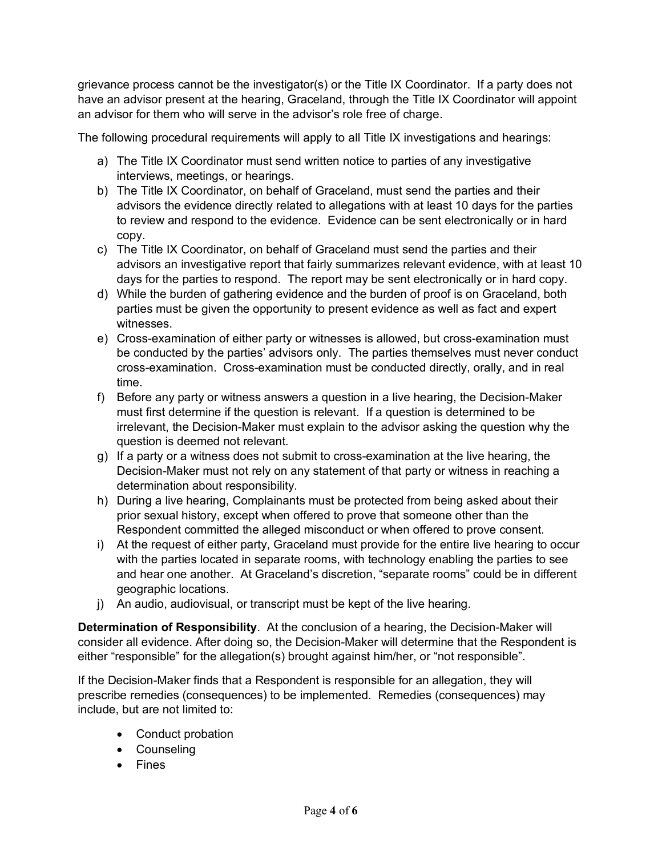grievance process cannot be the investigator(s) or the Title IX Coordinator. If a party does not have an advisor present at the hearing, Graceland, through the Title IX Coordinator will appoint an advisor for them who will serve in the advisor's role free of charge.

The following procedural requirements will apply to all Title IX investigations and hearings:

- a) The Title IX Coordinator must send written notice to parties of any investigative interviews, meetings, or hearings.
- b) The Title IX Coordinator, on behalf of Graceland, must send the parties and their advisors the evidence directly related to allegations with at least 10 days for the parties to review and respond to the evidence. Evidence can be sent electronically or in hard copy.
- c) The Title IX Coordinator, on behalf of Graceland must send the parties and their advisors an investigative report that fairly summarizes relevant evidence, with at least 10 days for the parties to respond. The report may be sent electronically or in hard copy.
- d) While the burden of gathering evidence and the burden of proof is on Graceland, both parties must be given the opportunity to present evidence as well as fact and expert witnesses.
- e) Cross-examination of either party or witnesses is allowed, but cross-examination must be conducted by the parties' advisors only. The parties themselves must never conduct cross-examination. Cross-examination must be conducted directly, orally, and in real time.
- f) Before any party or witness answers a question in a live hearing, the Decision-Maker must first determine if the question is relevant. If a question is determined to be irrelevant, the Decision-Maker must explain to the advisor asking the question why the question is deemed not relevant.
- g) If a party or a witness does not submit to cross-examination at the live hearing, the Decision-Maker must not rely on any statement of that party or witness in reaching a determination about responsibility.
- h) During a live hearing, Complainants must be protected from being asked about their prior sexual history, except when offered to prove that someone other than the Respondent committed the alleged misconduct or when offered to prove consent.
- i) At the request of either party, Graceland must provide for the entire live hearing to occur with the parties located in separate rooms, with technology enabling the parties to see and hear one another. At Graceland's discretion, "separate rooms" could be in different geographic locations.
- j) An audio, audiovisual, or transcript must be kept of the live hearing.

**Determination of Responsibility**. At the conclusion of a hearing, the Decision-Maker will consider all evidence. After doing so, the Decision-Maker will determine that the Respondent is either "responsible" for the allegation(s) brought against him/her, or "not responsible".

If the Decision-Maker finds that a Respondent is responsible for an allegation, they will prescribe remedies (consequences) to be implemented. Remedies (consequences) may include, but are not limited to:

- Conduct probation
- Counseling
- Fines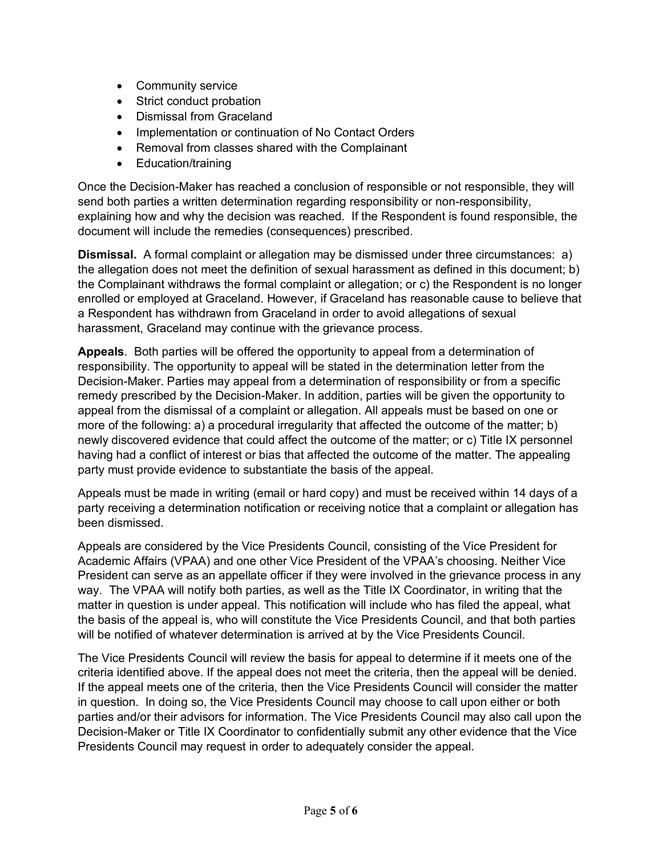- Community service
- Strict conduct probation
- Dismissal from Graceland
- Implementation or continuation of No Contact Orders
- Removal from classes shared with the Complainant
- Education/training

Once the Decision-Maker has reached a conclusion of responsible or not responsible, they will send both parties a written determination regarding responsibility or non-responsibility, explaining how and why the decision was reached. If the Respondent is found responsible, the document will include the remedies (consequences) prescribed.

**Dismissal.** A formal complaint or allegation may be dismissed under three circumstances: a) the allegation does not meet the definition of sexual harassment as defined in this document; b) the Complainant withdraws the formal complaint or allegation; or c) the Respondent is no longer enrolled or employed at Graceland. However, if Graceland has reasonable cause to believe that a Respondent has withdrawn from Graceland in order to avoid allegations of sexual harassment, Graceland may continue with the grievance process.

**Appeals**. Both parties will be offered the opportunity to appeal from a determination of responsibility. The opportunity to appeal will be stated in the determination letter from the Decision-Maker. Parties may appeal from a determination of responsibility or from a specific remedy prescribed by the Decision-Maker. In addition, parties will be given the opportunity to appeal from the dismissal of a complaint or allegation. All appeals must be based on one or more of the following: a) a procedural irregularity that affected the outcome of the matter; b) newly discovered evidence that could affect the outcome of the matter; or c) Title IX personnel having had a conflict of interest or bias that affected the outcome of the matter. The appealing party must provide evidence to substantiate the basis of the appeal.

Appeals must be made in writing (email or hard copy) and must be received within 14 days of a party receiving a determination notification or receiving notice that a complaint or allegation has been dismissed.

Appeals are considered by the Vice Presidents Council, consisting of the Vice President for Academic Affairs (VPAA) and one other Vice President of the VPAA's choosing. Neither Vice President can serve as an appellate officer if they were involved in the grievance process in any way. The VPAA will notify both parties, as well as the Title IX Coordinator, in writing that the matter in question is under appeal. This notification will include who has filed the appeal, what the basis of the appeal is, who will constitute the Vice Presidents Council, and that both parties will be notified of whatever determination is arrived at by the Vice Presidents Council.

The Vice Presidents Council will review the basis for appeal to determine if it meets one of the criteria identified above. If the appeal does not meet the criteria, then the appeal will be denied. If the appeal meets one of the criteria, then the Vice Presidents Council will consider the matter in question. In doing so, the Vice Presidents Council may choose to call upon either or both parties and/or their advisors for information. The Vice Presidents Council may also call upon the Decision-Maker or Title IX Coordinator to confidentially submit any other evidence that the Vice Presidents Council may request in order to adequately consider the appeal.